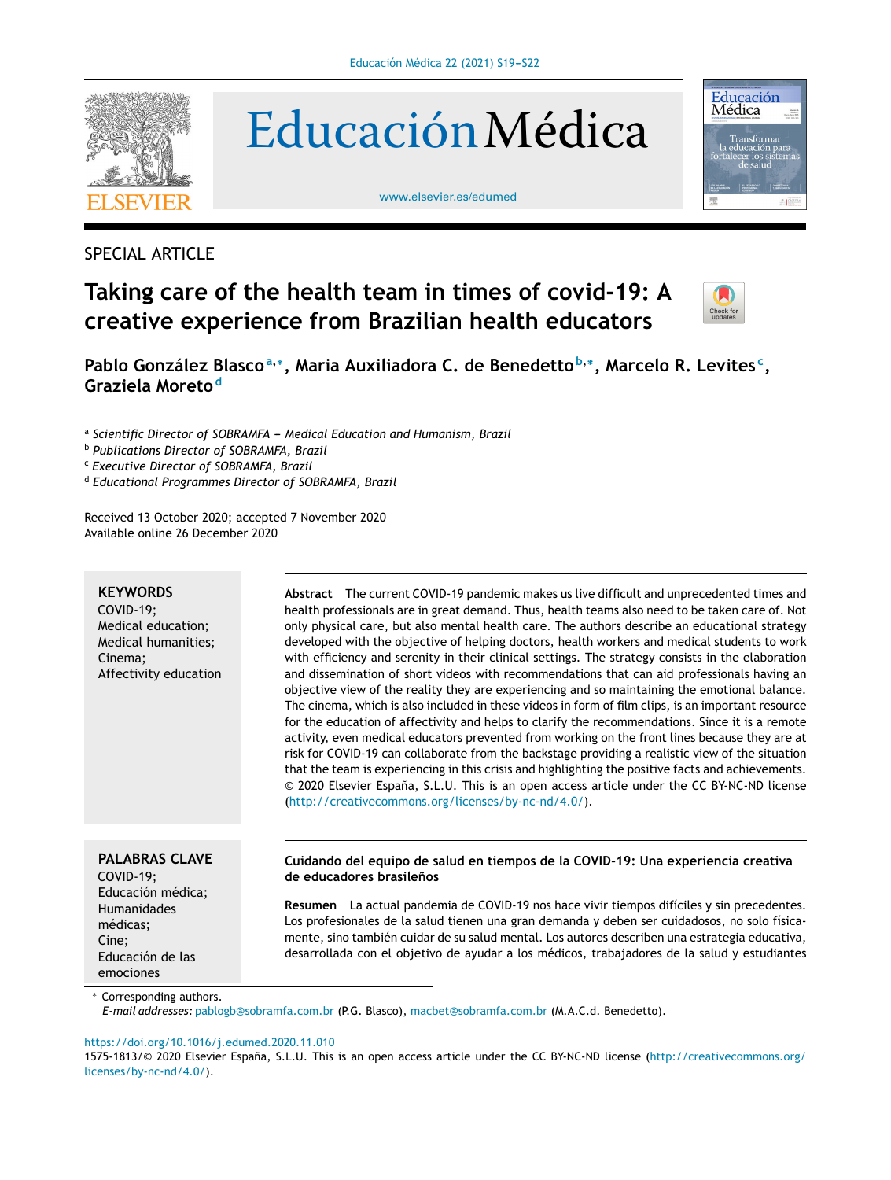

EducaciónMédica

[www.elsevier.es/edumed](http://www.elsevier.es/edumed)



## SPECIAL ARTICLE

# **Taking care of the health team in times of covid-19: A creative experience from Brazilian health educators**



**Pablo González Blasco<sup>a</sup>**,<sup>∗</sup> **, Maria Auxiliadora C. de Benedetto <sup>b</sup>**,<sup>∗</sup> **, Marcelo R. Levites <sup>c</sup> , Graziela Moreto <sup>d</sup>**

 $^{\rm a}$  Scientific Director of SOBRAMFA – Medical Education and Humanism, Brazil

<sup>b</sup> *Publications Director of SOBRAMFA, Brazil*

<sup>c</sup> *Executive Director of SOBRAMFA, Brazil*

<sup>d</sup> *Educational Programmes Director of SOBRAMFA, Brazil*

Received 13 October 2020; accepted 7 November 2020 Available online 26 December 2020

## **KEYWORDS**

COVID-19; Medical education; Medical humanities; Cinema; Affectivity education **Abstract** The current COVID-19 pandemic makes us live difficult and unprecedented times and health professionals are in great demand. Thus, health teams also need to be taken care of. Not only physical care, but also mental health care. The authors describe an educational strategy developed with the objective of helping doctors, health workers and medical students to work with efficiency and serenity in their clinical settings. The strategy consists in the elaboration and dissemination of short videos with recommendations that can aid professionals having an objective view of the reality they are experiencing and so maintaining the emotional balance. The cinema, which is also included in these videos in form of film clips, is an important resource for the education of affectivity and helps to clarify the recommendations. Since it is a remote activity, even medical educators prevented from working on the front lines because they are at risk for COVID-19 can collaborate from the backstage providing a realistic view of the situation that the team is experiencing in this crisis and highlighting the positive facts and achievements. © 2020 Elsevier España, S.L.U. This is an open access article under the CC BY-NC-ND license [\(http://creativecommons.org/licenses/by-nc-nd/4.0/\)](http://creativecommons.org/licenses/by-nc-nd/4.0/).

## **PALABRAS CLAVE**

COVID-19; Educación médica; **Humanidades** médicas; Cine; Educación de las emociones

## **Cuidando del equipo de salud en tiempos de la COVID-19: Una experiencia creativa de educadores brasilenos ˜**

**Resumen** La actual pandemia de COVID-19 nos hace vivir tiempos difíciles y sin precedentes. Los profesionales de la salud tienen una gran demanda y deben ser cuidadosos, no solo físicamente, sino también cuidar de su salud mental. Los autores describen una estrategia educativa, desarrollada con el objetivo de ayudar a los médicos, trabajadores de la salud y estudiantes

Corresponding authors.

*E-mail addresses:* [pablogb@sobramfa.com.br](mailto:pablogb@sobramfa.com.br) (P.G. Blasco), [macbet@sobramfa.com.br](mailto:macbet@sobramfa.com.br) (M.A.C.d. Benedetto).

## <https://doi.org/10.1016/j.edumed.2020.11.010>

1575-1813/© 2020 Elsevier España, S.L.U. This is an open access article under the CC BY-NC-ND license [\(http://creativecommons.org/](http://creativecommons.org/licenses/by-nc-nd/4.0/) [licenses/by-nc-nd/4.0/\)](http://creativecommons.org/licenses/by-nc-nd/4.0/).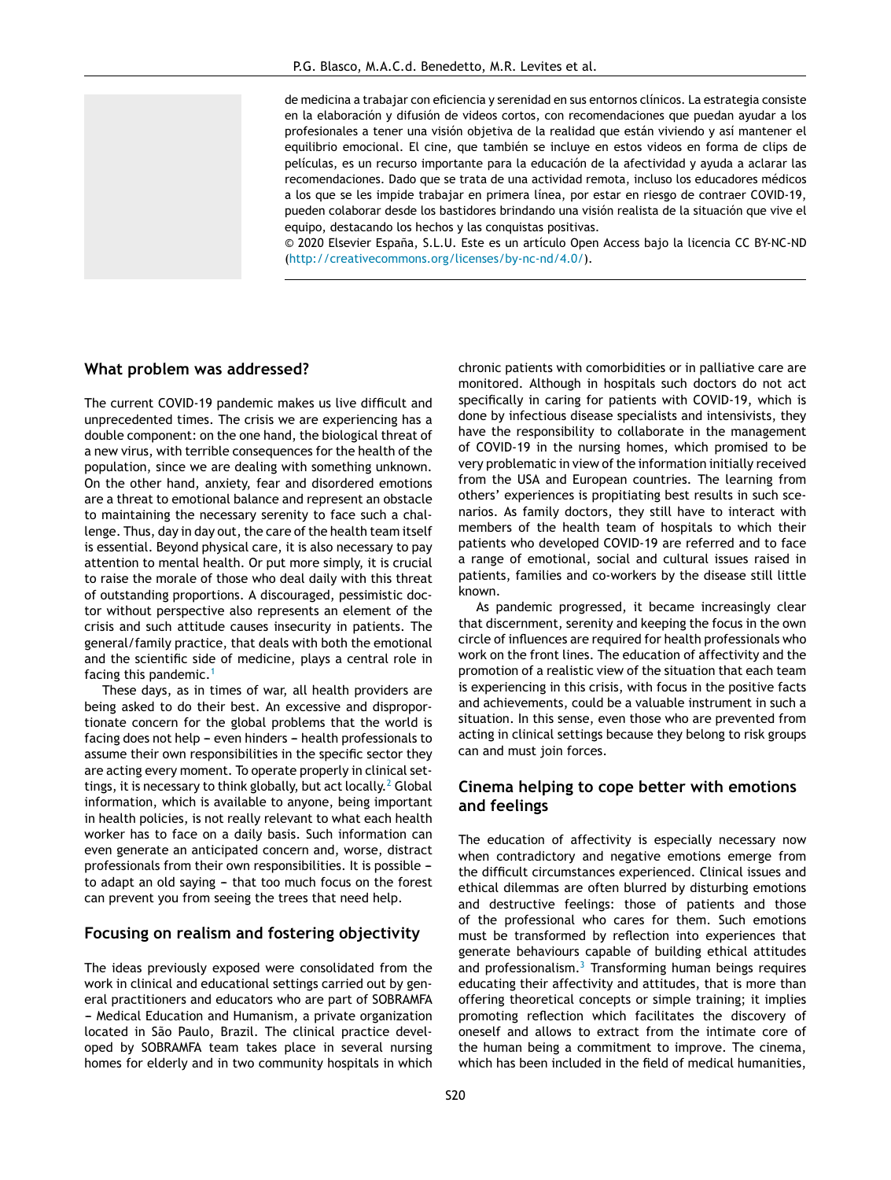de medicina a trabajar con eficiencia y serenidad en sus entornos clínicos. La estrategia consiste en la elaboración y difusión de videos cortos, con recomendaciones que puedan ayudar a los profesionales a tener una visión objetiva de la realidad que están viviendo y así mantener el equilibrio emocional. El cine, que también se incluye en estos videos en forma de clips de películas, es un recurso importante para la educación de la afectividad y ayuda a aclarar las recomendaciones. Dado que se trata de una actividad remota, incluso los educadores médicos a los que se les impide trabajar en primera línea, por estar en riesgo de contraer COVID-19, pueden colaborar desde los bastidores brindando una visión realista de la situación que vive el equipo, destacando los hechos y las conquistas positivas.

 $© 2020$  Elsevier España, S.L.U. Este es un artículo Open Access bajo la licencia CC BY-NC-ND [\(http://creativecommons.org/licenses/by-nc-nd/4.0/\)](http://creativecommons.org/licenses/by-nc-nd/4.0/).

#### **What problem was addressed?**

The current COVID-19 pandemic makes us live difficult and unprecedented times. The crisis we are experiencing has a double component: on the one hand, the biological threat of a new virus, with terrible consequences for the health of the population, since we are dealing with something unknown. On the other hand, anxiety, fear and disordered emotions are a threat to emotional balance and represent an obstacle to maintaining the necessary serenity to face such a challenge. Thus, day in day out, the care of the health team itself is essential. Beyond physical care, it is also necessary to pay attention to mental health. Or put more simply, it is crucial to raise the morale of those who deal daily with this threat of outstanding proportions. A discouraged, pessimistic doctor without perspective also represents an element of the crisis and such attitude causes insecurity in patients. The general/family practice, that deals with both the emotional and the scientific side of medicine, plays a central role in facing this pandemic.[1](#page-3-0)

These days, as in times of war, all health providers are being asked to do their best. An excessive and disproportionate concern for the global problems that the world is facing does not help  $-$  even hinders  $-$  health professionals to assume their own responsibilities in the specific sector they are acting every moment. To operate properly in clinical set-tings, it is necessary to think globally, but act locally.<sup>2</sup> [G](#page-3-0)lobal information, which is available to anyone, being important in health policies, is not really relevant to what each health worker has to face on a daily basis. Such information can even generate an anticipated concern and, worse, distract professionals from their own responsibilities. It is possible to adapt an old saying - that too much focus on the forest can prevent you from seeing the trees that need help.

## **Focusing on realism and fostering objectivity**

The ideas previously exposed were consolidated from the work in clinical and educational settings carried out by general practitioners and educators who are part of SOBRAMFA - Medical Education and Humanism, a private organization located in São Paulo, Brazil. The clinical practice developed by SOBRAMFA team takes place in several nursing homes for elderly and in two community hospitals in which chronic patients with comorbidities or in palliative care are monitored. Although in hospitals such doctors do not act specifically in caring for patients with COVID-19, which is done by infectious disease specialists and intensivists, they have the responsibility to collaborate in the management of COVID-19 in the nursing homes, which promised to be very problematic in view of the information initially received from the USA and European countries. The learning from others' experiences is propitiating best results in such scenarios. As family doctors, they still have to interact with members of the health team of hospitals to which their patients who developed COVID-19 are referred and to face a range of emotional, social and cultural issues raised in patients, families and co-workers by the disease still little known.

As pandemic progressed, it became increasingly clear that discernment, serenity and keeping the focus in the own circle of influences are required for health professionals who work on the front lines. The education of affectivity and the promotion of a realistic view of the situation that each team is experiencing in this crisis, with focus in the positive facts and achievements, could be a valuable instrument in such a situation. In this sense, even those who are prevented from acting in clinical settings because they belong to risk groups can and must join forces.

## **Cinema helping to cope better with emotions and feelings**

The education of affectivity is especially necessary now when contradictory and negative emotions emerge from the difficult circumstances experienced. Clinical issues and ethical dilemmas are often blurred by disturbing emotions and destructive feelings: those of patients and those of the professional who cares for them. Such emotions must be transformed by reflection into experiences that generate behaviours capable of building ethical attitudes and professionalism.<sup>[3](#page-3-0)</sup> Transforming human beings requires educating their affectivity and attitudes, that is more than offering theoretical concepts or simple training; it implies promoting reflection which facilitates the discovery of oneself and allows to extract from the intimate core of the human being a commitment to improve. The cinema, which has been included in the field of medical humanities,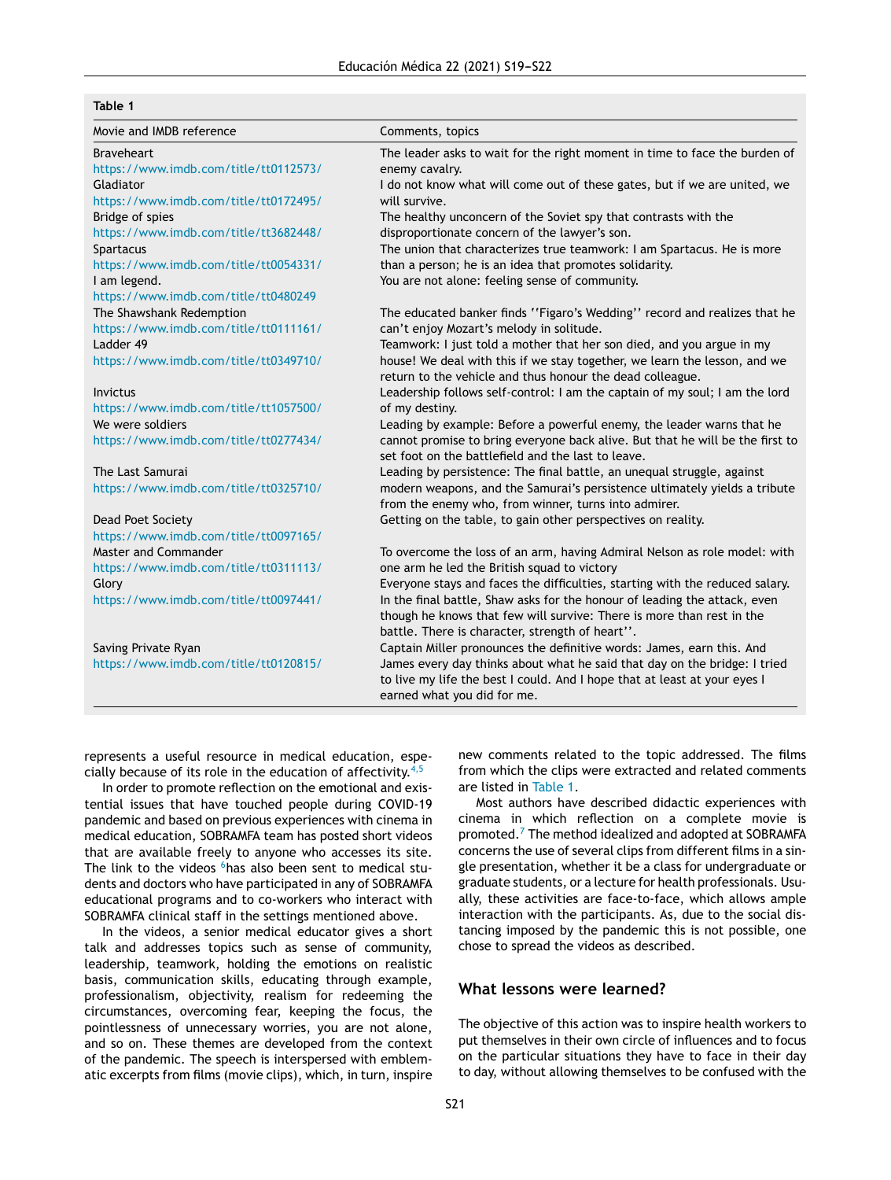### **Table 1**

| Movie and IMDB reference              | Comments, topics                                                              |
|---------------------------------------|-------------------------------------------------------------------------------|
| <b>Braveheart</b>                     | The leader asks to wait for the right moment in time to face the burden of    |
| https://www.imdb.com/title/tt0112573/ | enemy cavalry.                                                                |
| Gladiator                             | I do not know what will come out of these gates, but if we are united, we     |
| https://www.imdb.com/title/tt0172495/ | will survive.                                                                 |
| Bridge of spies                       | The healthy unconcern of the Soviet spy that contrasts with the               |
| https://www.imdb.com/title/tt3682448/ | disproportionate concern of the lawyer's son.                                 |
| Spartacus                             | The union that characterizes true teamwork: I am Spartacus. He is more        |
| https://www.imdb.com/title/tt0054331/ | than a person; he is an idea that promotes solidarity.                        |
| I am legend.                          | You are not alone: feeling sense of community.                                |
| https://www.imdb.com/title/tt0480249  |                                                                               |
| The Shawshank Redemption              | The educated banker finds "Figaro's Wedding" record and realizes that he      |
| https://www.imdb.com/title/tt0111161/ | can't enjoy Mozart's melody in solitude.                                      |
| Ladder 49                             | Teamwork: I just told a mother that her son died, and you argue in my         |
| https://www.imdb.com/title/tt0349710/ | house! We deal with this if we stay together, we learn the lesson, and we     |
|                                       | return to the vehicle and thus honour the dead colleague.                     |
| Invictus                              | Leadership follows self-control: I am the captain of my soul; I am the lord   |
| https://www.imdb.com/title/tt1057500/ | of my destiny.                                                                |
| We were soldiers                      | Leading by example: Before a powerful enemy, the leader warns that he         |
| https://www.imdb.com/title/tt0277434/ | cannot promise to bring everyone back alive. But that he will be the first to |
|                                       | set foot on the battlefield and the last to leave.                            |
| The Last Samurai                      | Leading by persistence: The final battle, an unequal struggle, against        |
| https://www.imdb.com/title/tt0325710/ | modern weapons, and the Samurai's persistence ultimately yields a tribute     |
|                                       | from the enemy who, from winner, turns into admirer.                          |
| Dead Poet Society                     | Getting on the table, to gain other perspectives on reality.                  |
| https://www.imdb.com/title/tt0097165/ |                                                                               |
| Master and Commander                  | To overcome the loss of an arm, having Admiral Nelson as role model: with     |
| https://www.imdb.com/title/tt0311113/ | one arm he led the British squad to victory                                   |
| Glory                                 | Everyone stays and faces the difficulties, starting with the reduced salary.  |
| https://www.imdb.com/title/tt0097441/ | In the final battle, Shaw asks for the honour of leading the attack, even     |
|                                       | though he knows that few will survive: There is more than rest in the         |
|                                       | battle. There is character, strength of heart".                               |
| Saving Private Ryan                   | Captain Miller pronounces the definitive words: James, earn this. And         |
| https://www.imdb.com/title/tt0120815/ | James every day thinks about what he said that day on the bridge: I tried     |
|                                       | to live my life the best I could. And I hope that at least at your eyes I     |
|                                       | earned what you did for me.                                                   |

represents a useful resource in medical education, especially because of its role in the education of affectivity. $4,5$ 

In order to promote reflection on the emotional and existential issues that have touched people during COVID-19 pandemic and based on previous experiences with cinema in medical education, SOBRAMFA team has posted short videos that are available freely to anyone who accesses its site. The link to the videos <sup>6</sup>[ha](#page-3-0)s also been sent to medical students and doctors who have participated in any of SOBRAMFA educational programs and to co-workers who interact with SOBRAMFA clinical staff in the settings mentioned above.

In the videos, a senior medical educator gives a short talk and addresses topics such as sense of community, leadership, teamwork, holding the emotions on realistic basis, communication skills, educating through example, professionalism, objectivity, realism for redeeming the circumstances, overcoming fear, keeping the focus, the pointlessness of unnecessary worries, you are not alone, and so on. These themes are developed from the context of the pandemic. The speech is interspersed with emblematic excerpts from films (movie clips), which, in turn, inspire

new comments related to the topic addressed. The films from which the clips were extracted and related comments are listed in Table 1.

Most authors have described didactic experiences with cinema in which reflection on a complete movie is promoted.<sup>7</sup> [T](#page-3-0)he method idealized and adopted at SOBRAMFA concerns the use of several clips from different films in a single presentation, whether it be a class for undergraduate or graduate students, or a lecture for health professionals. Usually, these activities are face-to-face, which allows ample interaction with the participants. As, due to the social distancing imposed by the pandemic this is not possible, one chose to spread the videos as described.

## **What lessons were learned?**

The objective of this action was to inspire health workers to put themselves in their own circle of influences and to focus on the particular situations they have to face in their day to day, without allowing themselves to be confused with the